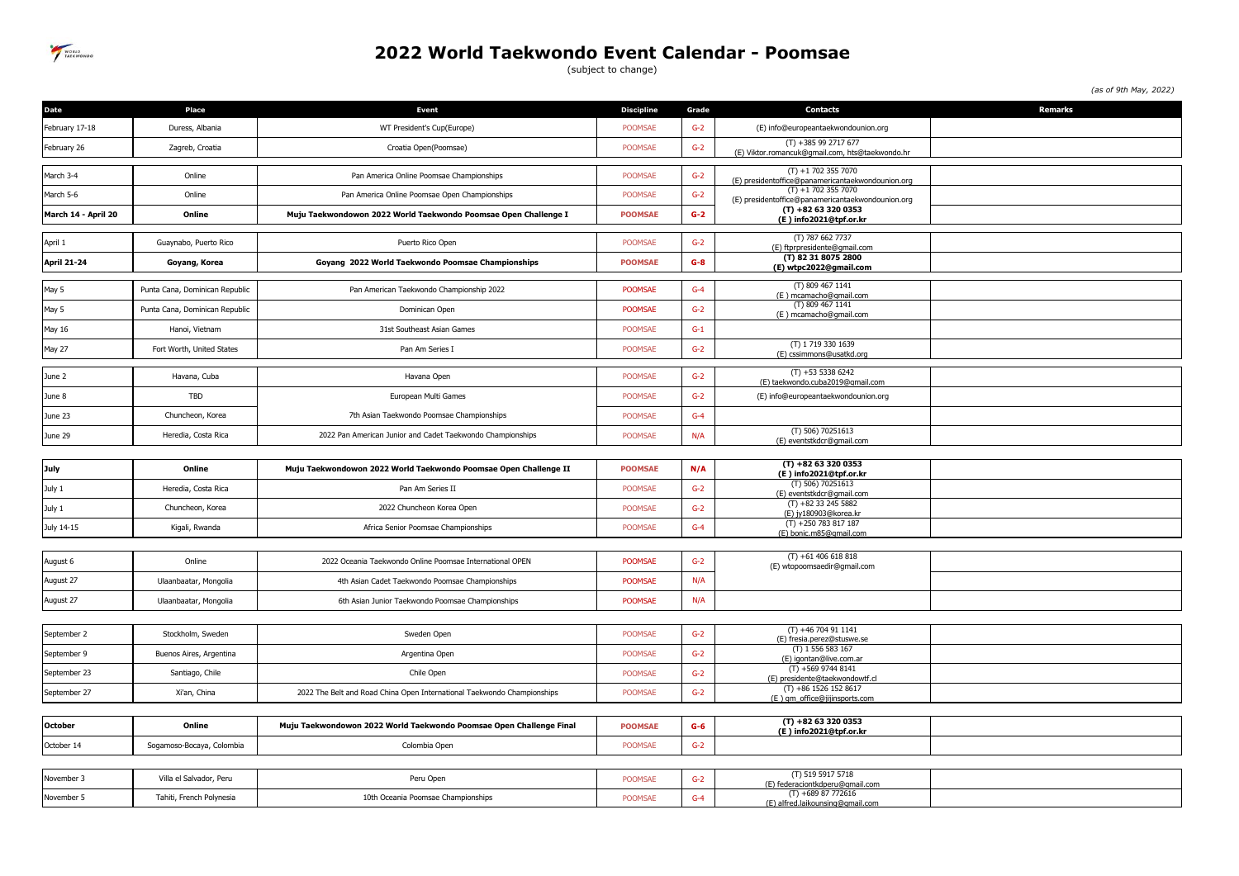

## **2022 World Taekwondo Event Calendar - Poomsae**

(subject to change)

*(as of 9th May, 2022)*

| Date                | Place                          | <b>Event</b>                                                            | <b>Discipline</b> | Grade | <b>Contacts</b>                                                          | <b>Remarks</b> |
|---------------------|--------------------------------|-------------------------------------------------------------------------|-------------------|-------|--------------------------------------------------------------------------|----------------|
| February 17-18      | Duress, Albania                | WT President's Cup(Europe)                                              | <b>POOMSAE</b>    | $G-2$ | (E) info@europeantaekwondounion.org                                      |                |
| February 26         | Zagreb, Croatia                | Croatia Open(Poomsae)                                                   | <b>POOMSAE</b>    | $G-2$ | $(T) + 385992717677$<br>(E) Viktor.romancuk@qmail.com, hts@taekwondo.hr  |                |
| March 3-4           | Online                         | Pan America Online Poomsae Championships                                | POOMSAE           | $G-2$ | $(T) + 17023557070$                                                      |                |
| March 5-6           | Online                         | Pan America Online Poomsae Open Championships                           | POOMSAE           | $G-2$ | (E) presidentoffice@panamericantaekwondounion.org<br>$(T) + 17023557070$ |                |
| March 14 - April 20 | Online                         | Muju Taekwondowon 2022 World Taekwondo Poomsae Open Challenge I         | <b>POOMSAE</b>    | $G-2$ | (E) presidentoffice@panamericantaekwondounion.org<br>$(T) + 82633200353$ |                |
|                     |                                |                                                                         |                   |       | (E) info2021@tpf.or.kr                                                   |                |
| April 1             | Guaynabo, Puerto Rico          | Puerto Rico Open                                                        | POOMSAE           | $G-2$ | (T) 787 662 7737<br>(E) ftprpresidente@gmail.com                         |                |
| <b>April 21-24</b>  | Goyang, Korea                  | Goyang 2022 World Taekwondo Poomsae Championships                       | <b>POOMSAE</b>    | $G-8$ | (T) 82 31 8075 2800<br>(E) wtpc2022@gmail.com                            |                |
| May 5               | Punta Cana, Dominican Republic | Pan American Taekwondo Championship 2022                                | <b>POOMSAE</b>    | $G-4$ | (T) 809 467 1141<br>(E) mcamacho@qmail.com                               |                |
| May 5               | Punta Cana, Dominican Republic | Dominican Open                                                          | <b>POOMSAE</b>    | $G-2$ | (T) 809 467 1141<br>(E) mcamacho@gmail.com                               |                |
| May 16              | Hanoi, Vietnam                 | 31st Southeast Asian Games                                              | POOMSAE           | $G-1$ |                                                                          |                |
| May 27              | Fort Worth, United States      | Pan Am Series I                                                         | POOMSAE           | $G-2$ | (T) 1719 330 1639<br>(E) cssimmons@usatkd.org                            |                |
| June 2              | Havana, Cuba                   | Havana Open                                                             | POOMSAE           | $G-2$ | $(T) + 5353386242$                                                       |                |
| June 8              | TBD                            | European Multi Games                                                    | POOMSAE           | $G-2$ | (E) taekwondo.cuba2019@gmail.com<br>(E) info@europeantaekwondounion.org  |                |
| June 23             | Chuncheon, Korea               | 7th Asian Taekwondo Poomsae Championships                               | POOMSAE           | $G-4$ |                                                                          |                |
| June 29             | Heredia, Costa Rica            | 2022 Pan American Junior and Cadet Taekwondo Championships              | POOMSAE           | N/A   | (T) 506) 70251613                                                        |                |
|                     |                                |                                                                         |                   |       | (E) eventstkdcr@gmail.com                                                |                |
| July                | Online                         | Muju Taekwondowon 2022 World Taekwondo Poomsae Open Challenge II        | <b>POOMSAE</b>    | N/A   | $(T) + 82633200353$<br>(E) info2021@tpf.or.kr                            |                |
| July 1              | Heredia, Costa Rica            | Pan Am Series II                                                        | POOMSAE           | $G-2$ | (T) 506) 70251613<br>(E) eventstkdcr@gmail.com                           |                |
| July 1              | Chuncheon, Korea               | 2022 Chuncheon Korea Open                                               | <b>POOMSAE</b>    | $G-2$ | $(T) +82332455882$<br>(E) jy180903@korea.kr                              |                |
| July 14-15          | Kigali, Rwanda                 | Africa Senior Poomsae Championships                                     | POOMSAE           | $G-4$ | $(T) + 250783817187$<br>(E) bonic.m85@qmail.com                          |                |
|                     |                                |                                                                         |                   |       |                                                                          |                |
| August 6            | Online                         | 2022 Oceania Taekwondo Online Poomsae International OPEN                | <b>POOMSAE</b>    | $G-2$ | $(T) +61406618818$<br>(E) wtopoomsaedir@qmail.com                        |                |
| August 27           | Ulaanbaatar, Mongolia          | 4th Asian Cadet Taekwondo Poomsae Championships                         | <b>POOMSAE</b>    | N/A   |                                                                          |                |
| August 27           | Ulaanbaatar, Mongolia          | 6th Asian Junior Taekwondo Poomsae Championships                        | <b>POOMSAE</b>    | N/A   |                                                                          |                |
|                     |                                |                                                                         |                   |       |                                                                          |                |
| September 2         | Stockholm, Sweden              | Sweden Open                                                             | <b>POOMSAE</b>    | $G-2$ | $(T) +46704911141$<br>(E) fresia.perez@stuswe.se                         |                |
| September 9         | Buenos Aires, Argentina        | Argentina Open                                                          | <b>POOMSAE</b>    | $G-2$ | (T) 1 556 583 167<br>(E) igontan@live.com.ar                             |                |
| September 23        | Santiago, Chile                | Chile Open                                                              | POOMSAE           | $G-2$ | $(T) + 56997448141$<br>(E) presidente@taekwondowtf.cl                    |                |
| September 27        | Xi'an, China                   | 2022 The Belt and Road China Open International Taekwondo Championships | <b>POOMSAE</b>    | $G-2$ | $(T) +86$ 1526 152 8617<br>(E) gm_office@jijinsports.com                 |                |
|                     |                                |                                                                         |                   |       |                                                                          |                |
| <b>October</b>      | Online                         | Muju Taekwondowon 2022 World Taekwondo Poomsae Open Challenge Final     | <b>POOMSAE</b>    | $G-6$ | $(T) + 82633200353$<br>(E) info2021@tpf.or.kr                            |                |
| October 14          | Sogamoso-Bocaya, Colombia      | Colombia Open                                                           | <b>POOMSAE</b>    | $G-2$ |                                                                          |                |
|                     |                                |                                                                         |                   |       | (T) 519 5917 5718                                                        |                |
| November 3          | Villa el Salvador, Peru        | Peru Open                                                               | POOMSAE           | $G-2$ | (E) federaciontkdperu@qmail.com                                          |                |
| November 5          | Tahiti, French Polynesia       | 10th Oceania Poomsae Championships                                      | POOMSAE           | $G-4$ | $(T) +68987772616$<br>(E) alfred.laikounsing@gmail.com                   |                |